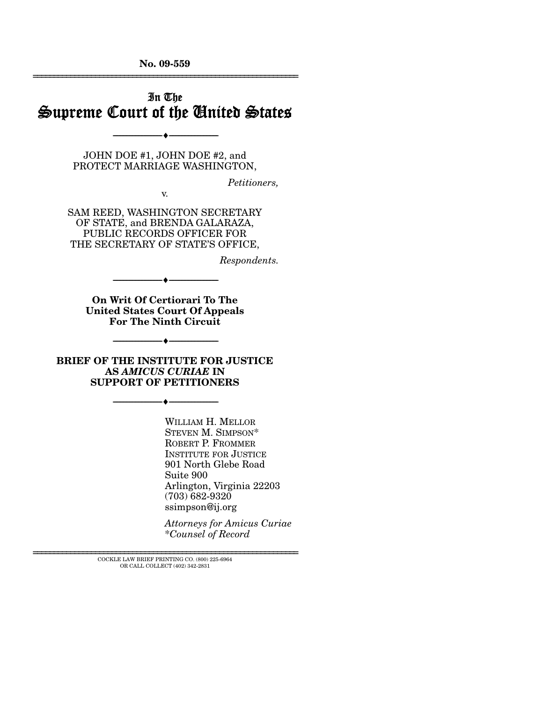**No. 09-559**  ================================================================

# In The Supreme Court of the United States

JOHN DOE #1, JOHN DOE #2, and PROTECT MARRIAGE WASHINGTON,

--------------------------------- ♦ ---------------------------------

*Petitioners,* 

v.

SAM REED, WASHINGTON SECRETARY OF STATE, and BRENDA GALARAZA, PUBLIC RECORDS OFFICER FOR THE SECRETARY OF STATE'S OFFICE,

*Respondents.* 

**On Writ Of Certiorari To The United States Court Of Appeals For The Ninth Circuit** 

--------------------------------- ♦ ---------------------------------

**BRIEF OF THE INSTITUTE FOR JUSTICE AS** *AMICUS CURIAE* **IN SUPPORT OF PETITIONERS** 

--------------------------------- ♦ ---------------------------------

--------------------------------- ♦ ---------------------------------

WILLIAM H. MELLOR STEVEN M. SIMPSON\* ROBERT P. FROMMER INSTITUTE FOR JUSTICE 901 North Glebe Road Suite 900 Arlington, Virginia 22203 (703) 682-9320 ssimpson@ij.org

*Attorneys for Amicus Curiae*  \**Counsel of Record*

================================================================ COCKLE LAW BRIEF PRINTING CO. (800) 225-6964 OR CALL COLLECT (402) 342-2831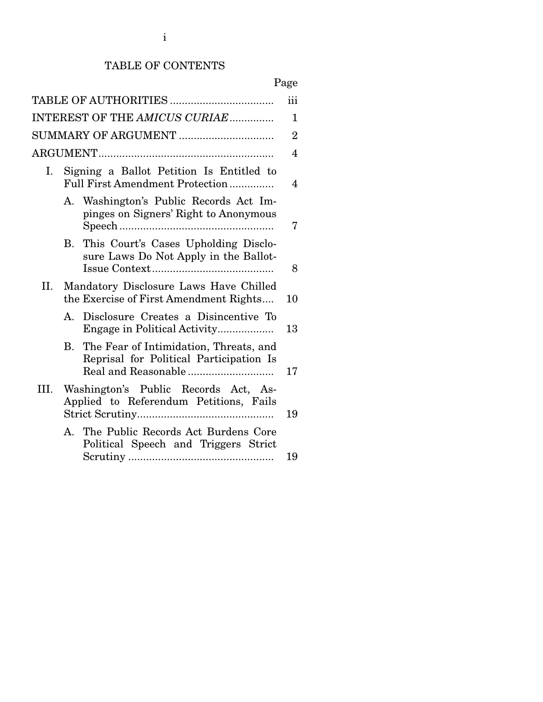## TABLE OF CONTENTS

|--|

|      |          |                                                                                   | iii            |
|------|----------|-----------------------------------------------------------------------------------|----------------|
|      |          | INTEREST OF THE AMICUS CURIAE                                                     | 1              |
|      |          |                                                                                   | $\overline{2}$ |
|      |          |                                                                                   | 4              |
| Ι.   |          | Signing a Ballot Petition Is Entitled to<br>Full First Amendment Protection       | 4              |
|      |          | A. Washington's Public Records Act Im-<br>pinges on Signers' Right to Anonymous   | 7              |
|      | $\bf{B}$ | This Court's Cases Upholding Disclo-<br>sure Laws Do Not Apply in the Ballot-     | 8              |
| П.   |          | Mandatory Disclosure Laws Have Chilled<br>the Exercise of First Amendment Rights  | 10             |
|      | A.       | Disclosure Creates a Disincentive To<br>Engage in Political Activity              | 13             |
|      | В.       | The Fear of Intimidation, Threats, and<br>Reprisal for Political Participation Is | 17             |
| III. |          | Washington's Public Records Act, As-<br>Applied to Referendum Petitions, Fails    | 19             |
|      |          | A. The Public Records Act Burdens Core<br>Political Speech and Triggers Strict    | 19             |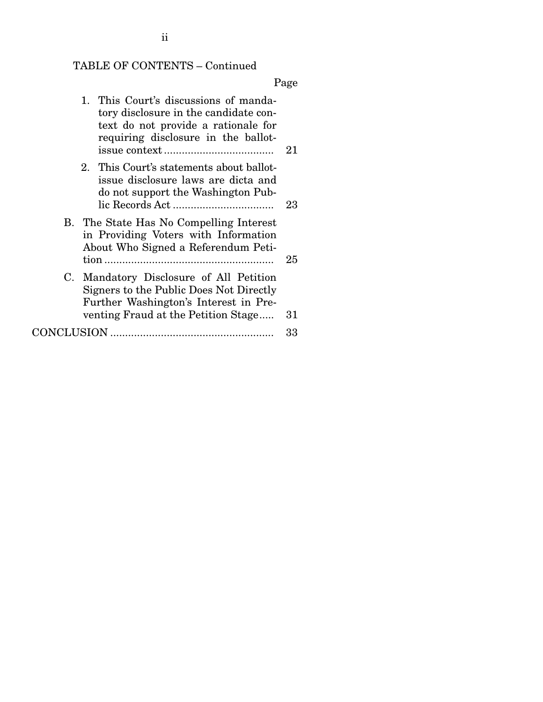# TABLE OF CONTENTS – Continued

Page

| 1. This Court's discussions of manda-<br>tory disclosure in the candidate con-<br>text do not provide a rationale for<br>requiring disclosure in the ballot- | 21 |
|--------------------------------------------------------------------------------------------------------------------------------------------------------------|----|
| 2. This Court's statements about ballot-<br>issue disclosure laws are dicta and<br>do not support the Washington Pub-                                        | 23 |
| B. The State Has No Compelling Interest<br>in Providing Voters with Information<br>About Who Signed a Referendum Peti-                                       |    |
|                                                                                                                                                              | 25 |
| C. Mandatory Disclosure of All Petition<br>Signers to the Public Does Not Directly<br>Further Washington's Interest in Pre-                                  |    |
| venting Fraud at the Petition Stage                                                                                                                          | 31 |
|                                                                                                                                                              | 33 |
|                                                                                                                                                              |    |

ii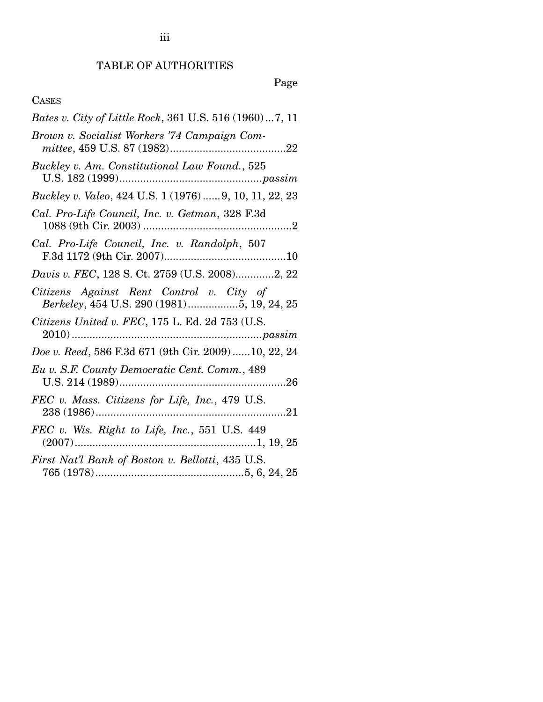# TABLE OF AUTHORITIES

# Page

# CASES

| <i>Bates v. City of Little Rock</i> , 361 U.S. 516 (1960)7, 11                         |
|----------------------------------------------------------------------------------------|
| Brown v. Socialist Workers '74 Campaign Com-                                           |
| Buckley v. Am. Constitutional Law Found., 525                                          |
| Buckley v. Valeo, 424 U.S. 1 (1976)  9, 10, 11, 22, 23                                 |
| Cal. Pro-Life Council, Inc. v. Getman, 328 F.3d                                        |
| Cal. Pro-Life Council, Inc. v. Randolph, 507                                           |
| Davis v. FEC, 128 S. Ct. 2759 (U.S. 2008)2, 22                                         |
| Citizens Against Rent Control v. City of<br>Berkeley, 454 U.S. 290 (1981)5, 19, 24, 25 |
| Citizens United v. FEC, 175 L. Ed. 2d 753 (U.S.                                        |
| Doe v. Reed, 586 F.3d 671 (9th Cir. 2009)  10, 22, 24                                  |
| Eu v. S.F. County Democratic Cent. Comm., 489                                          |
| FEC v. Mass. Citizens for Life, Inc., 479 U.S.                                         |
| FEC v. Wis. Right to Life, Inc., 551 U.S. 449                                          |
| First Nat'l Bank of Boston v. Bellotti, 435 U.S.                                       |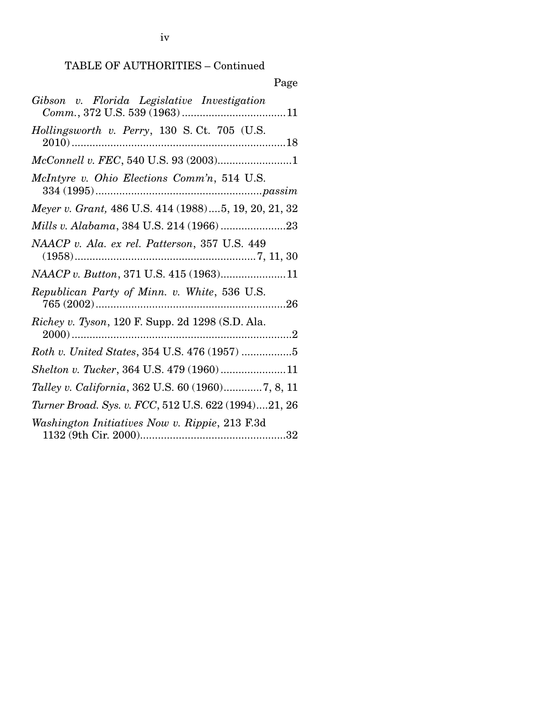# Page

| Gibson v. Florida Legislative Investigation              |
|----------------------------------------------------------|
| Hollingsworth v. Perry, 130 S.Ct. 705 (U.S.              |
|                                                          |
| McIntyre v. Ohio Elections Comm'n, 514 U.S.              |
| Meyer v. Grant, 486 U.S. 414 (1988)5, 19, 20, 21, 32     |
|                                                          |
| NAACP v. Ala. ex rel. Patterson, 357 U.S. 449            |
| NAACP v. Button, 371 U.S. 415 (1963)11                   |
| Republican Party of Minn. v. White, 536 U.S.             |
| <i>Richey v. Tyson</i> , 120 F. Supp. 2d 1298 (S.D. Ala. |
| Roth v. United States, 354 U.S. 476 (1957) 5             |
| Shelton v. Tucker, 364 U.S. 479 (1960) 11                |
| Talley v. California, 362 U.S. 60 (1960)7, 8, 11         |
| Turner Broad. Sys. v. FCC, 512 U.S. 622 (1994)21, 26     |
| Washington Initiatives Now v. Rippie, 213 F.3d           |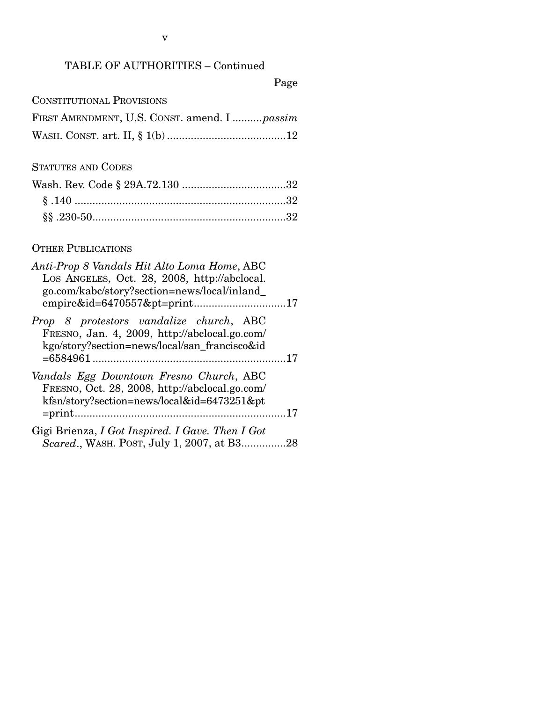## TABLE OF AUTHORITIES – Continued

# Page

| FIRST AMENDMENT, U.S. CONST. amend. I  passim |  |  |
|-----------------------------------------------|--|--|
|                                               |  |  |

### STATUTES AND CODES

## OTHER PUBLICATIONS

| Anti-Prop 8 Vandals Hit Alto Loma Home, ABC<br>Los Angeles, Oct. 28, 2008, http://abclocal.<br>go.com/kabc/story?section=news/local/inland     |  |
|------------------------------------------------------------------------------------------------------------------------------------------------|--|
| Prop 8 protestors vandalize church, ABC<br>FRESNO, Jan. 4, 2009, http://abclocal.go.com/<br>kgo/story?section=news/local/san francisco&id      |  |
| Vandals Egg Downtown Fresno Church, ABC<br>FRESNO, Oct. 28, 2008, http://abclocal.go.com/<br>kfsn/story?section=news/local&id=6473251&pt<br>17 |  |
| Gigi Brienza, I Got Inspired. I Gave. Then I Got<br>Scared., WASH. POST, July 1, 2007, at B328                                                 |  |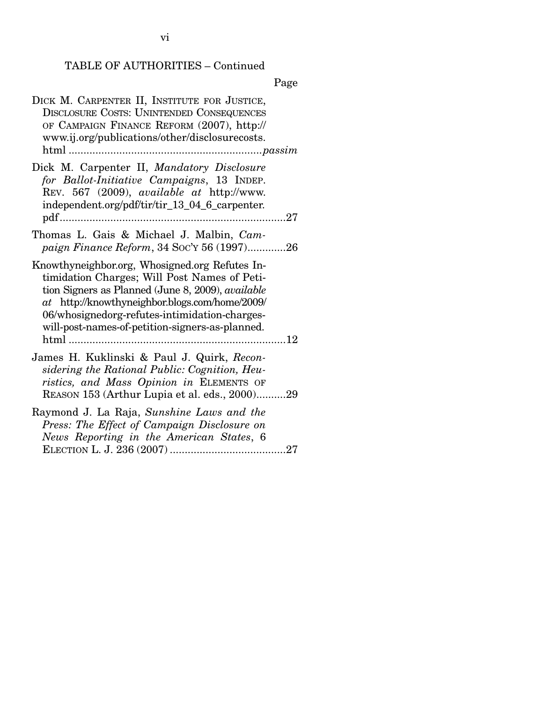# TABLE OF AUTHORITIES – Continued

# Page

| DICK M. CARPENTER II, INSTITUTE FOR JUSTICE,<br><b>DISCLOSURE COSTS: UNINTENDED CONSEQUENCES</b><br>OF CAMPAIGN FINANCE REFORM (2007), http://<br>www.ij.org/publications/other/disclosurecosts.                                                                                                                 |
|------------------------------------------------------------------------------------------------------------------------------------------------------------------------------------------------------------------------------------------------------------------------------------------------------------------|
| Dick M. Carpenter II, Mandatory Disclosure<br>for Ballot-Initiative Campaigns, 13 INDEP.<br>REV. 567 (2009), available at http://www.<br>independent.org/pdf/tir/tir_13_04_6_carpenter.                                                                                                                          |
| Thomas L. Gais & Michael J. Malbin, Cam-<br>paign Finance Reform, 34 Soc'y 56 (1997)26                                                                                                                                                                                                                           |
| Knowthyneighbor.org, Whosigned.org Refutes In-<br>timidation Charges; Will Post Names of Peti-<br>tion Signers as Planned (June 8, 2009), <i>available</i><br>at http://knowthyneighbor.blogs.com/home/2009/<br>06/whosignedorg-refutes-intimidation-charges-<br>will-post-names-of-petition-signers-as-planned. |
| James H. Kuklinski & Paul J. Quirk, Recon-<br>sidering the Rational Public: Cognition, Heu-<br>ristics, and Mass Opinion in ELEMENTS OF<br>REASON 153 (Arthur Lupia et al. eds., 2000)29                                                                                                                         |
| Raymond J. La Raja, Sunshine Laws and the<br>Press: The Effect of Campaign Disclosure on<br>News Reporting in the American States, 6                                                                                                                                                                             |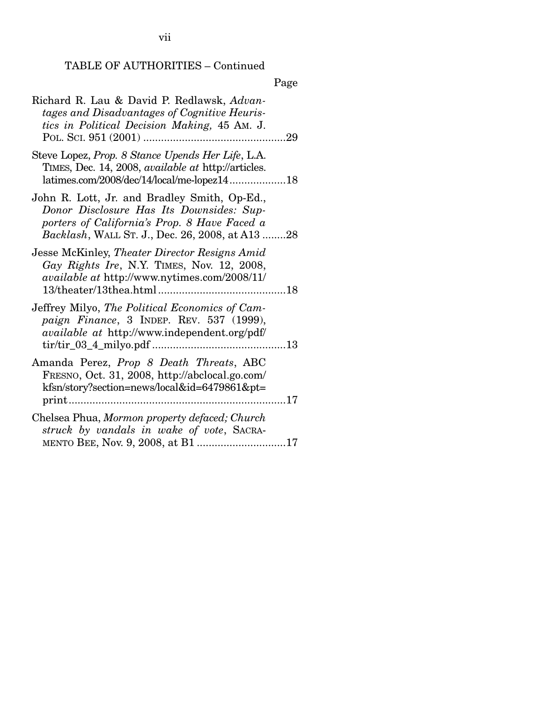vii

# TABLE OF AUTHORITIES – Continued

Page

| Richard R. Lau & David P. Redlawsk, Advan-<br>tages and Disadvantages of Cognitive Heuris-<br>tics in Political Decision Making, 45 AM. J.                                                  |  |
|---------------------------------------------------------------------------------------------------------------------------------------------------------------------------------------------|--|
| Steve Lopez, Prop. 8 Stance Upends Her Life, L.A.<br>TIMES, Dec. 14, 2008, <i>available at http://articles.</i><br>latimes.com/2008/dec/14/local/me-lopez1418                               |  |
| John R. Lott, Jr. and Bradley Smith, Op-Ed.,<br>Donor Disclosure Has Its Downsides: Sup-<br>porters of California's Prop. 8 Have Faced a<br>Backlash, WALL ST. J., Dec. 26, 2008, at A13 28 |  |
| Jesse McKinley, Theater Director Resigns Amid<br>Gay Rights Ire, N.Y. TIMES, Nov. 12, 2008,<br>available at http://www.nytimes.com/2008/11/                                                 |  |
| Jeffrey Milyo, The Political Economics of Cam-<br>paign Finance, 3 INDEP. REV. 537 (1999),<br>available at http://www.independent.org/pdf/                                                  |  |
| Amanda Perez, Prop 8 Death Threats, ABC<br>FRESNO, Oct. 31, 2008, http://abclocal.go.com/<br>kfsn/story?section=news/local&id=6479861&pt=<br>17                                             |  |
| Chelsea Phua, Mormon property defaced; Church<br>struck by vandals in wake of vote, SACRA-                                                                                                  |  |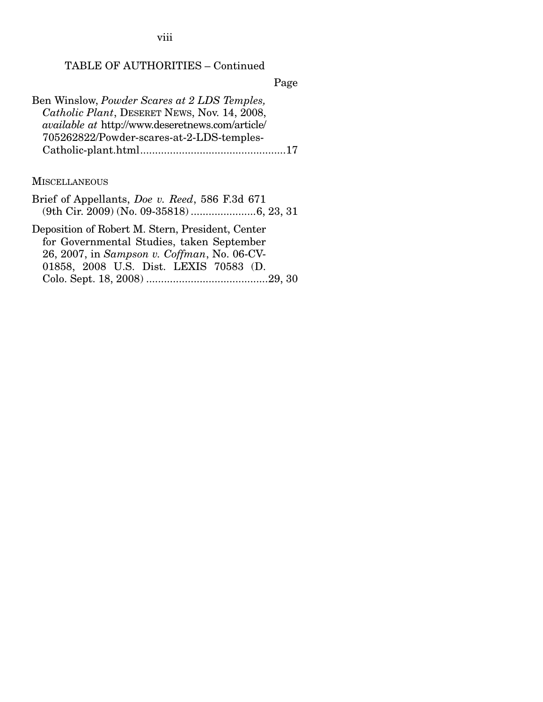viii

# TABLE OF AUTHORITIES – Continued

Page

| Ben Winslow, Powder Scares at 2 LDS Temples,            |
|---------------------------------------------------------|
| Catholic Plant, DESERET NEWS, Nov. 14, 2008,            |
| <i>available at http://www.deseretnews.com/article/</i> |
| 705262822/Powder-scares-at-2-LDS-temples-               |
|                                                         |

## **MISCELLANEOUS**

| Brief of Appellants, <i>Doe v. Reed</i> , 586 F.3d 671 |
|--------------------------------------------------------|
|                                                        |
| Deposition of Robert M. Stern, President, Center       |
| for Governmental Studies, taken September              |
| 26, 2007, in Sampson v. Coffman, No. 06-CV-            |
| 01858, 2008 U.S. Dist. LEXIS 70583 (D.                 |
|                                                        |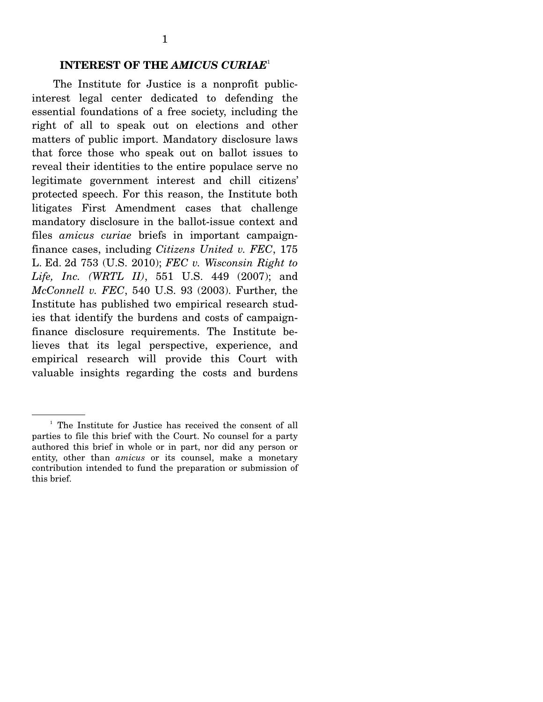#### **INTEREST OF THE** *AMICUS CURIAE*<sup>1</sup>

The Institute for Justice is a nonprofit publicinterest legal center dedicated to defending the essential foundations of a free society, including the right of all to speak out on elections and other matters of public import. Mandatory disclosure laws that force those who speak out on ballot issues to reveal their identities to the entire populace serve no legitimate government interest and chill citizens' protected speech. For this reason, the Institute both litigates First Amendment cases that challenge mandatory disclosure in the ballot-issue context and files *amicus curiae* briefs in important campaignfinance cases, including *Citizens United v. FEC*, 175 L. Ed. 2d 753 (U.S. 2010); *FEC v. Wisconsin Right to Life, Inc. (WRTL II)*, 551 U.S. 449 (2007); and *McConnell v. FEC*, 540 U.S. 93 (2003). Further, the Institute has published two empirical research studies that identify the burdens and costs of campaignfinance disclosure requirements. The Institute believes that its legal perspective, experience, and empirical research will provide this Court with valuable insights regarding the costs and burdens

<sup>&</sup>lt;sup>1</sup> The Institute for Justice has received the consent of all parties to file this brief with the Court. No counsel for a party authored this brief in whole or in part, nor did any person or entity, other than *amicus* or its counsel, make a monetary contribution intended to fund the preparation or submission of this brief.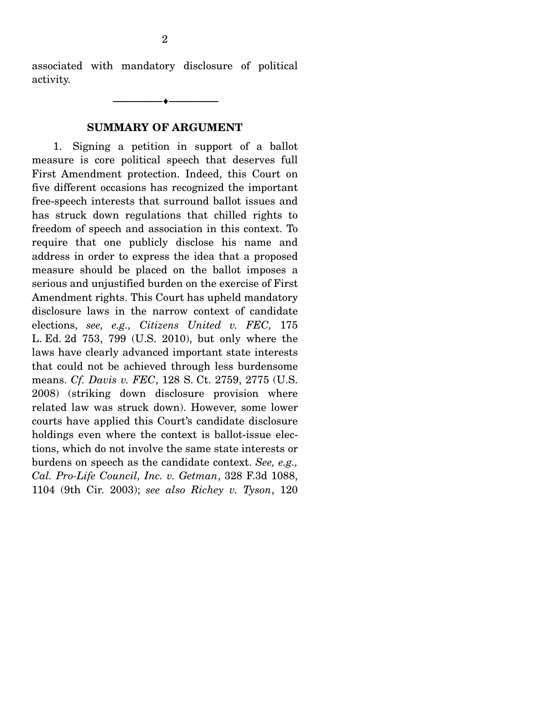associated with mandatory disclosure of political activity.

--------------------------------- ♦ ---------------------------------

#### **SUMMARY OF ARGUMENT**

1. Signing a petition in support of a ballot measure is core political speech that deserves full First Amendment protection. Indeed, this Court on five different occasions has recognized the important free-speech interests that surround ballot issues and has struck down regulations that chilled rights to freedom of speech and association in this context. To require that one publicly disclose his name and address in order to express the idea that a proposed measure should be placed on the ballot imposes a serious and unjustified burden on the exercise of First Amendment rights. This Court has upheld mandatory disclosure laws in the narrow context of candidate elections, *see, e.g., Citizens United v. FEC,* 175 L. Ed. 2d 753, 799 (U.S. 2010), but only where the laws have clearly advanced important state interests that could not be achieved through less burdensome means. *Cf. Davis v. FEC*, 128 S. Ct. 2759, 2775 (U.S. 2008) (striking down disclosure provision where related law was struck down). However, some lower courts have applied this Court's candidate disclosure holdings even where the context is ballot-issue elections, which do not involve the same state interests or burdens on speech as the candidate context. *See, e.g., Cal. Pro-Life Council, Inc. v. Getman*, 328 F.3d 1088, 1104 (9th Cir. 2003); *see also Richey v. Tyson*, 120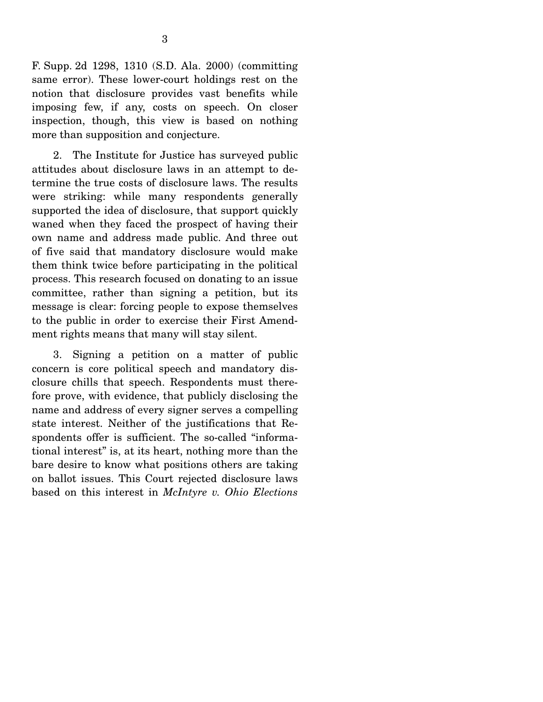F. Supp. 2d 1298, 1310 (S.D. Ala. 2000) (committing same error). These lower-court holdings rest on the notion that disclosure provides vast benefits while imposing few, if any, costs on speech. On closer inspection, though, this view is based on nothing more than supposition and conjecture.

 2. The Institute for Justice has surveyed public attitudes about disclosure laws in an attempt to determine the true costs of disclosure laws. The results were striking: while many respondents generally supported the idea of disclosure, that support quickly waned when they faced the prospect of having their own name and address made public. And three out of five said that mandatory disclosure would make them think twice before participating in the political process. This research focused on donating to an issue committee, rather than signing a petition, but its message is clear: forcing people to expose themselves to the public in order to exercise their First Amendment rights means that many will stay silent.

 3. Signing a petition on a matter of public concern is core political speech and mandatory disclosure chills that speech. Respondents must therefore prove, with evidence, that publicly disclosing the name and address of every signer serves a compelling state interest. Neither of the justifications that Respondents offer is sufficient. The so-called "informational interest" is, at its heart, nothing more than the bare desire to know what positions others are taking on ballot issues. This Court rejected disclosure laws based on this interest in *McIntyre v. Ohio Elections*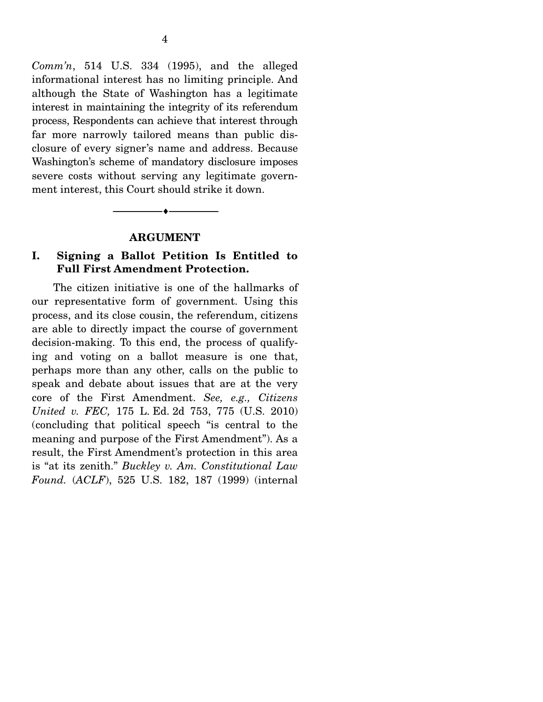*Comm'n*, 514 U.S. 334 (1995), and the alleged informational interest has no limiting principle. And although the State of Washington has a legitimate interest in maintaining the integrity of its referendum process, Respondents can achieve that interest through far more narrowly tailored means than public disclosure of every signer's name and address. Because Washington's scheme of mandatory disclosure imposes severe costs without serving any legitimate government interest, this Court should strike it down.

#### **ARGUMENT**

--------------------------------- ♦ ---------------------------------

### **I. Signing a Ballot Petition Is Entitled to Full First Amendment Protection.**

The citizen initiative is one of the hallmarks of our representative form of government. Using this process, and its close cousin, the referendum, citizens are able to directly impact the course of government decision-making. To this end, the process of qualifying and voting on a ballot measure is one that, perhaps more than any other, calls on the public to speak and debate about issues that are at the very core of the First Amendment. *See, e.g., Citizens United v. FEC,* 175 L. Ed. 2d 753, 775 (U.S. 2010) (concluding that political speech "is central to the meaning and purpose of the First Amendment"). As a result, the First Amendment's protection in this area is "at its zenith." *Buckley v. Am. Constitutional Law Found.* (*ACLF*), 525 U.S. 182, 187 (1999) (internal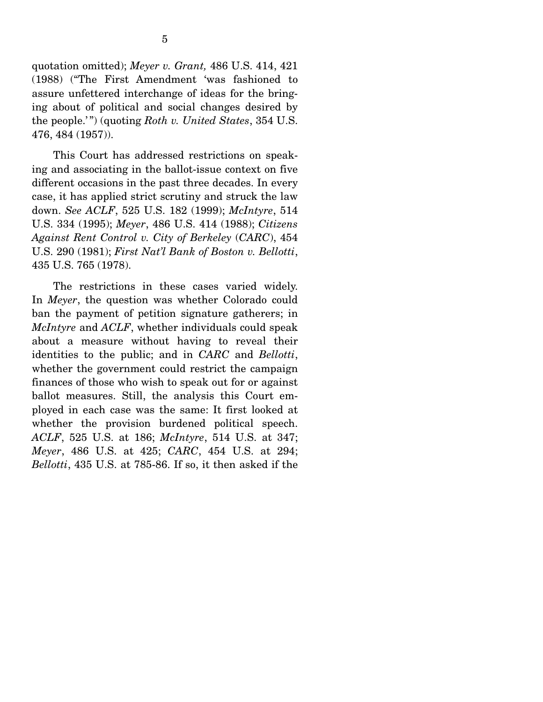quotation omitted); *Meyer v. Grant,* 486 U.S. 414, 421 (1988) ("The First Amendment 'was fashioned to assure unfettered interchange of ideas for the bringing about of political and social changes desired by the people.' ") (quoting *Roth v. United States*, 354 U.S. 476, 484 (1957)).

 This Court has addressed restrictions on speaking and associating in the ballot-issue context on five different occasions in the past three decades. In every case, it has applied strict scrutiny and struck the law down. *See ACLF*, 525 U.S. 182 (1999); *McIntyre*, 514 U.S. 334 (1995); *Meyer*, 486 U.S. 414 (1988); *Citizens Against Rent Control v. City of Berkeley* (*CARC*), 454 U.S. 290 (1981); *First Nat'l Bank of Boston v. Bellotti*, 435 U.S. 765 (1978).

 The restrictions in these cases varied widely. In *Meyer*, the question was whether Colorado could ban the payment of petition signature gatherers; in *McIntyre* and *ACLF*, whether individuals could speak about a measure without having to reveal their identities to the public; and in *CARC* and *Bellotti*, whether the government could restrict the campaign finances of those who wish to speak out for or against ballot measures. Still, the analysis this Court employed in each case was the same: It first looked at whether the provision burdened political speech. *ACLF*, 525 U.S. at 186; *McIntyre*, 514 U.S. at 347; *Meyer*, 486 U.S. at 425; *CARC*, 454 U.S. at 294; *Bellotti*, 435 U.S. at 785-86. If so, it then asked if the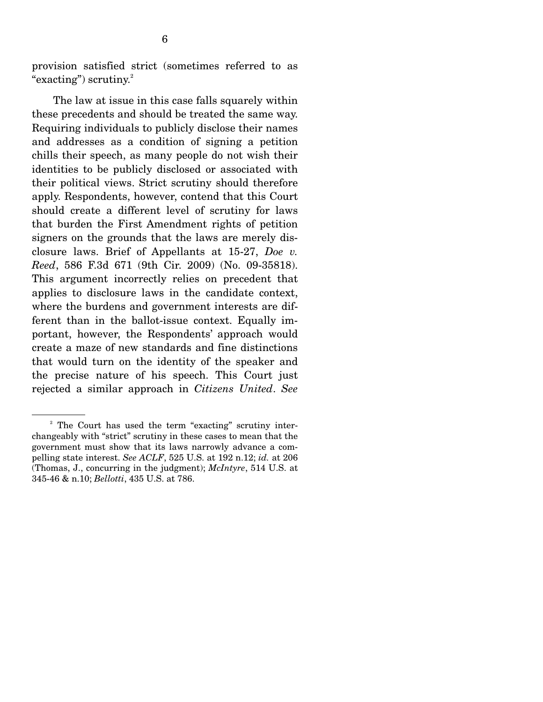provision satisfied strict (sometimes referred to as "exacting") scrutiny. $2$ 

 The law at issue in this case falls squarely within these precedents and should be treated the same way. Requiring individuals to publicly disclose their names and addresses as a condition of signing a petition chills their speech, as many people do not wish their identities to be publicly disclosed or associated with their political views. Strict scrutiny should therefore apply. Respondents, however, contend that this Court should create a different level of scrutiny for laws that burden the First Amendment rights of petition signers on the grounds that the laws are merely disclosure laws. Brief of Appellants at 15-27, *Doe v. Reed*, 586 F.3d 671 (9th Cir. 2009) (No. 09-35818). This argument incorrectly relies on precedent that applies to disclosure laws in the candidate context, where the burdens and government interests are different than in the ballot-issue context. Equally important, however, the Respondents' approach would create a maze of new standards and fine distinctions that would turn on the identity of the speaker and the precise nature of his speech. This Court just rejected a similar approach in *Citizens United*. *See*

<sup>&</sup>lt;sup>2</sup> The Court has used the term "exacting" scrutiny interchangeably with "strict" scrutiny in these cases to mean that the government must show that its laws narrowly advance a compelling state interest. *See ACLF*, 525 U.S. at 192 n.12; *id.* at 206 (Thomas, J., concurring in the judgment); *McIntyre*, 514 U.S. at 345-46 & n.10; *Bellotti*, 435 U.S. at 786.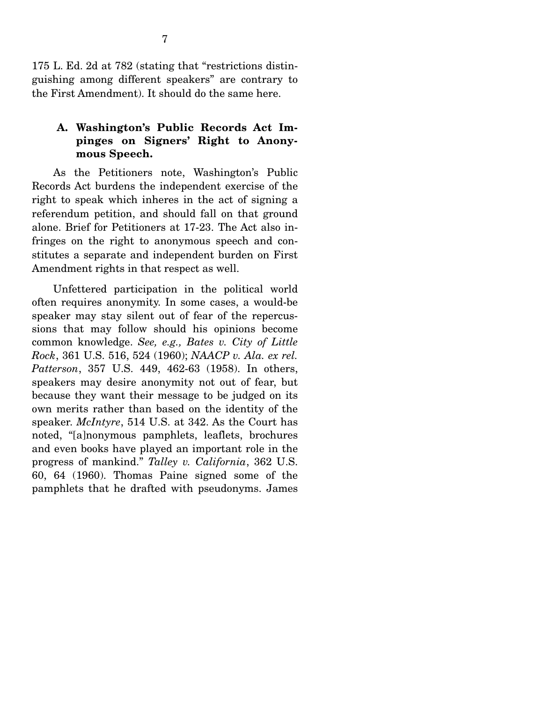175 L. Ed. 2d at 782 (stating that "restrictions distinguishing among different speakers" are contrary to the First Amendment). It should do the same here.

### **A. Washington's Public Records Act Impinges on Signers' Right to Anonymous Speech.**

As the Petitioners note, Washington's Public Records Act burdens the independent exercise of the right to speak which inheres in the act of signing a referendum petition, and should fall on that ground alone. Brief for Petitioners at 17-23. The Act also infringes on the right to anonymous speech and constitutes a separate and independent burden on First Amendment rights in that respect as well.

 Unfettered participation in the political world often requires anonymity. In some cases, a would-be speaker may stay silent out of fear of the repercussions that may follow should his opinions become common knowledge. *See, e.g., Bates v. City of Little Rock*, 361 U.S. 516, 524 (1960); *NAACP v. Ala. ex rel. Patterson*, 357 U.S. 449, 462-63 (1958). In others, speakers may desire anonymity not out of fear, but because they want their message to be judged on its own merits rather than based on the identity of the speaker. *McIntyre*, 514 U.S. at 342. As the Court has noted, "[a]nonymous pamphlets, leaflets, brochures and even books have played an important role in the progress of mankind." *Talley v. California*, 362 U.S. 60, 64 (1960). Thomas Paine signed some of the pamphlets that he drafted with pseudonyms. James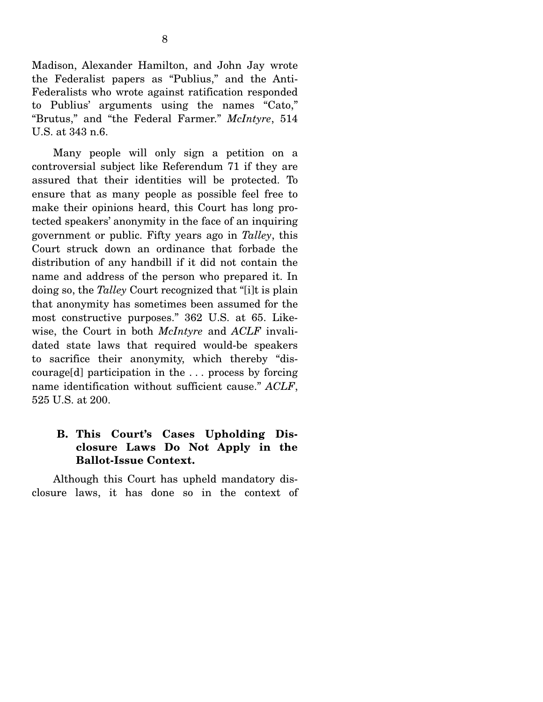Madison, Alexander Hamilton, and John Jay wrote the Federalist papers as "Publius," and the Anti-Federalists who wrote against ratification responded to Publius' arguments using the names "Cato," "Brutus," and "the Federal Farmer." *McIntyre*, 514 U.S. at 343 n.6.

 Many people will only sign a petition on a controversial subject like Referendum 71 if they are assured that their identities will be protected. To ensure that as many people as possible feel free to make their opinions heard, this Court has long protected speakers' anonymity in the face of an inquiring government or public. Fifty years ago in *Talley*, this Court struck down an ordinance that forbade the distribution of any handbill if it did not contain the name and address of the person who prepared it. In doing so, the *Talley* Court recognized that "[i]t is plain that anonymity has sometimes been assumed for the most constructive purposes." 362 U.S. at 65. Likewise, the Court in both *McIntyre* and *ACLF* invalidated state laws that required would-be speakers to sacrifice their anonymity, which thereby "discourage[d] participation in the . . . process by forcing name identification without sufficient cause." *ACLF*, 525 U.S. at 200.

## **B. This Court's Cases Upholding Disclosure Laws Do Not Apply in the Ballot-Issue Context.**

Although this Court has upheld mandatory disclosure laws, it has done so in the context of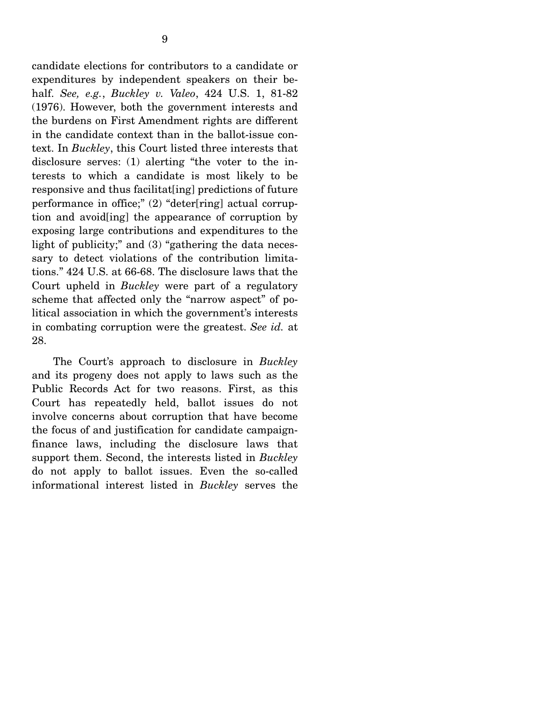candidate elections for contributors to a candidate or expenditures by independent speakers on their behalf. *See, e.g.*, *Buckley v. Valeo*, 424 U.S. 1, 81-82 (1976). However, both the government interests and the burdens on First Amendment rights are different in the candidate context than in the ballot-issue context. In *Buckley*, this Court listed three interests that disclosure serves: (1) alerting "the voter to the interests to which a candidate is most likely to be responsive and thus facilitat[ing] predictions of future performance in office;" (2) "deter[ring] actual corruption and avoid[ing] the appearance of corruption by exposing large contributions and expenditures to the light of publicity;" and (3) "gathering the data necessary to detect violations of the contribution limitations." 424 U.S. at 66-68. The disclosure laws that the Court upheld in *Buckley* were part of a regulatory scheme that affected only the "narrow aspect" of political association in which the government's interests in combating corruption were the greatest. *See id.* at 28.

 The Court's approach to disclosure in *Buckley* and its progeny does not apply to laws such as the Public Records Act for two reasons. First, as this Court has repeatedly held, ballot issues do not involve concerns about corruption that have become the focus of and justification for candidate campaignfinance laws, including the disclosure laws that support them. Second, the interests listed in *Buckley* do not apply to ballot issues. Even the so-called informational interest listed in *Buckley* serves the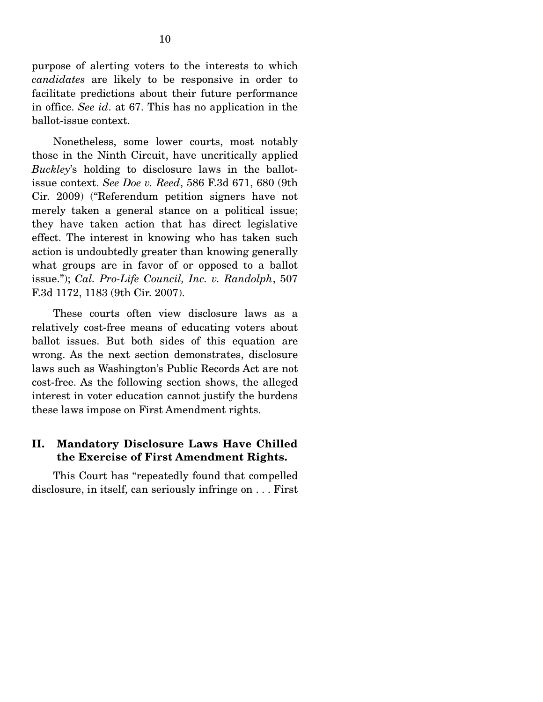purpose of alerting voters to the interests to which *candidates* are likely to be responsive in order to facilitate predictions about their future performance in office. *See id*. at 67. This has no application in the ballot-issue context.

 Nonetheless, some lower courts, most notably those in the Ninth Circuit, have uncritically applied *Buckley*'s holding to disclosure laws in the ballotissue context. *See Doe v. Reed*, 586 F.3d 671, 680 (9th Cir. 2009) ("Referendum petition signers have not merely taken a general stance on a political issue; they have taken action that has direct legislative effect. The interest in knowing who has taken such action is undoubtedly greater than knowing generally what groups are in favor of or opposed to a ballot issue."); *Cal. Pro-Life Council, Inc. v. Randolph*, 507 F.3d 1172, 1183 (9th Cir. 2007).

 These courts often view disclosure laws as a relatively cost-free means of educating voters about ballot issues. But both sides of this equation are wrong. As the next section demonstrates, disclosure laws such as Washington's Public Records Act are not cost-free. As the following section shows, the alleged interest in voter education cannot justify the burdens these laws impose on First Amendment rights.

#### **II. Mandatory Disclosure Laws Have Chilled the Exercise of First Amendment Rights.**

This Court has "repeatedly found that compelled disclosure, in itself, can seriously infringe on . . . First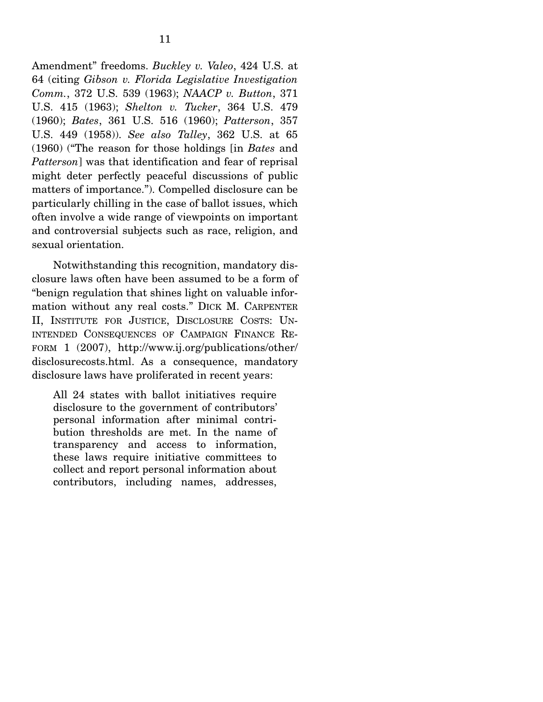Amendment" freedoms. *Buckley v. Valeo*, 424 U.S. at 64 (citing *Gibson v. Florida Legislative Investigation Comm.*, 372 U.S. 539 (1963); *NAACP v. Button*, 371 U.S. 415 (1963); *Shelton v. Tucker*, 364 U.S. 479 (1960); *Bates*, 361 U.S. 516 (1960); *Patterson*, 357 U.S. 449 (1958)). *See also Talley*, 362 U.S. at 65 (1960) ("The reason for those holdings [in *Bates* and *Patterson*] was that identification and fear of reprisal might deter perfectly peaceful discussions of public matters of importance."). Compelled disclosure can be particularly chilling in the case of ballot issues, which often involve a wide range of viewpoints on important and controversial subjects such as race, religion, and sexual orientation.

 Notwithstanding this recognition, mandatory disclosure laws often have been assumed to be a form of "benign regulation that shines light on valuable information without any real costs." DICK M. CARPENTER II, INSTITUTE FOR JUSTICE, DISCLOSURE COSTS: UN-INTENDED CONSEQUENCES OF CAMPAIGN FINANCE RE-FORM 1 (2007), http://www.ij.org/publications/other/ disclosurecosts.html. As a consequence, mandatory disclosure laws have proliferated in recent years:

All 24 states with ballot initiatives require disclosure to the government of contributors' personal information after minimal contribution thresholds are met. In the name of transparency and access to information, these laws require initiative committees to collect and report personal information about contributors, including names, addresses,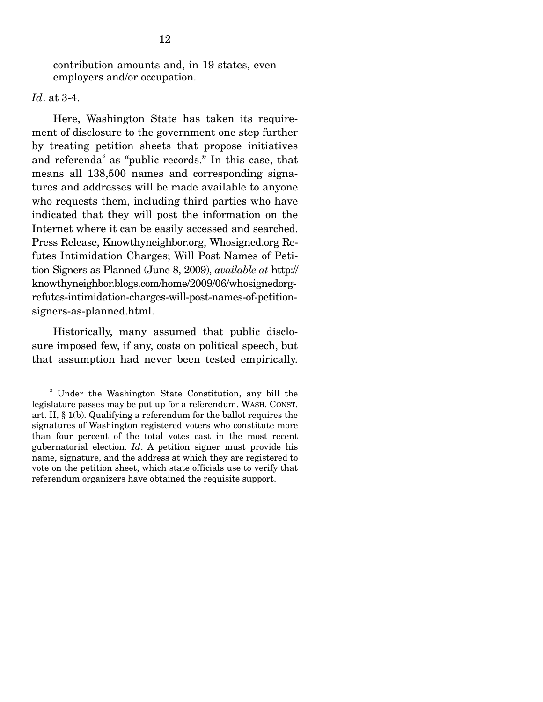contribution amounts and, in 19 states, even employers and/or occupation.

*Id*. at 3-4.

 Here, Washington State has taken its requirement of disclosure to the government one step further by treating petition sheets that propose initiatives and referenda<sup>3</sup> as "public records." In this case, that means all 138,500 names and corresponding signatures and addresses will be made available to anyone who requests them, including third parties who have indicated that they will post the information on the Internet where it can be easily accessed and searched. Press Release, Knowthyneighbor.org, Whosigned.org Refutes Intimidation Charges; Will Post Names of Petition Signers as Planned (June 8, 2009), *available at* http:// knowthyneighbor.blogs.com/home/2009/06/whosignedorgrefutes-intimidation-charges-will-post-names-of-petitionsigners-as-planned.html.

 Historically, many assumed that public disclosure imposed few, if any, costs on political speech, but that assumption had never been tested empirically.

<sup>3</sup> Under the Washington State Constitution, any bill the legislature passes may be put up for a referendum. WASH. CONST. art. II, § 1(b). Qualifying a referendum for the ballot requires the signatures of Washington registered voters who constitute more than four percent of the total votes cast in the most recent gubernatorial election. *Id*. A petition signer must provide his name, signature, and the address at which they are registered to vote on the petition sheet, which state officials use to verify that referendum organizers have obtained the requisite support.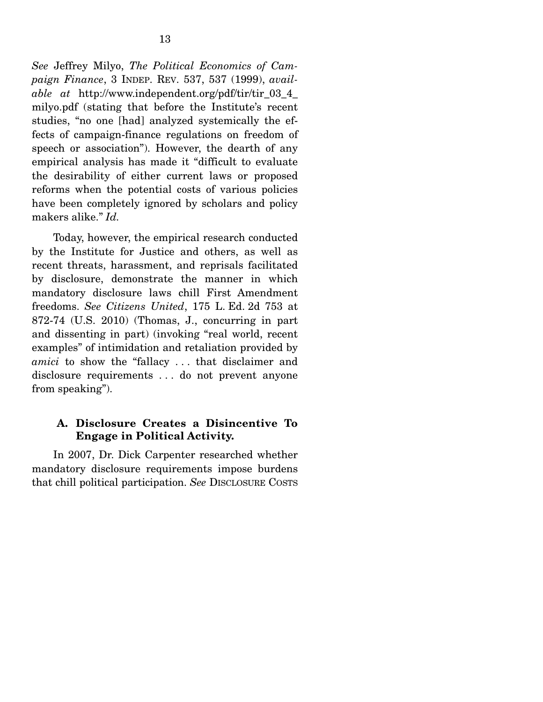*See* Jeffrey Milyo, *The Political Economics of Campaign Finance*, 3 INDEP. REV. 537, 537 (1999), *available at* http://www.independent.org/pdf/tir/tir\_03\_4\_ milyo.pdf (stating that before the Institute's recent studies, "no one [had] analyzed systemically the effects of campaign-finance regulations on freedom of speech or association"). However, the dearth of any empirical analysis has made it "difficult to evaluate the desirability of either current laws or proposed reforms when the potential costs of various policies have been completely ignored by scholars and policy makers alike." *Id.* 

Today, however, the empirical research conducted by the Institute for Justice and others, as well as recent threats, harassment, and reprisals facilitated by disclosure, demonstrate the manner in which mandatory disclosure laws chill First Amendment freedoms. *See Citizens United*, 175 L. Ed. 2d 753 at 872-74 (U.S. 2010) (Thomas, J., concurring in part and dissenting in part) (invoking "real world, recent examples" of intimidation and retaliation provided by *amici* to show the "fallacy . . . that disclaimer and disclosure requirements . . . do not prevent anyone from speaking").

#### **A. Disclosure Creates a Disincentive To Engage in Political Activity.**

In 2007, Dr. Dick Carpenter researched whether mandatory disclosure requirements impose burdens that chill political participation. *See* DISCLOSURE COSTS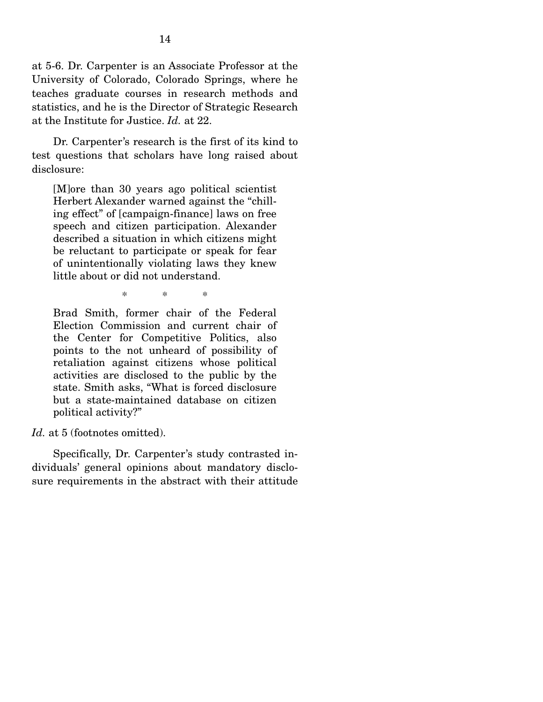at 5-6. Dr. Carpenter is an Associate Professor at the University of Colorado, Colorado Springs, where he teaches graduate courses in research methods and statistics, and he is the Director of Strategic Research at the Institute for Justice. *Id.* at 22.

 Dr. Carpenter's research is the first of its kind to test questions that scholars have long raised about disclosure:

[M]ore than 30 years ago political scientist Herbert Alexander warned against the "chilling effect" of [campaign-finance] laws on free speech and citizen participation. Alexander described a situation in which citizens might be reluctant to participate or speak for fear of unintentionally violating laws they knew little about or did not understand.

\* \* \*

Brad Smith, former chair of the Federal Election Commission and current chair of the Center for Competitive Politics, also points to the not unheard of possibility of retaliation against citizens whose political activities are disclosed to the public by the state. Smith asks, "What is forced disclosure but a state-maintained database on citizen political activity?"

Id. at 5 (footnotes omitted).

 Specifically, Dr. Carpenter's study contrasted individuals' general opinions about mandatory disclosure requirements in the abstract with their attitude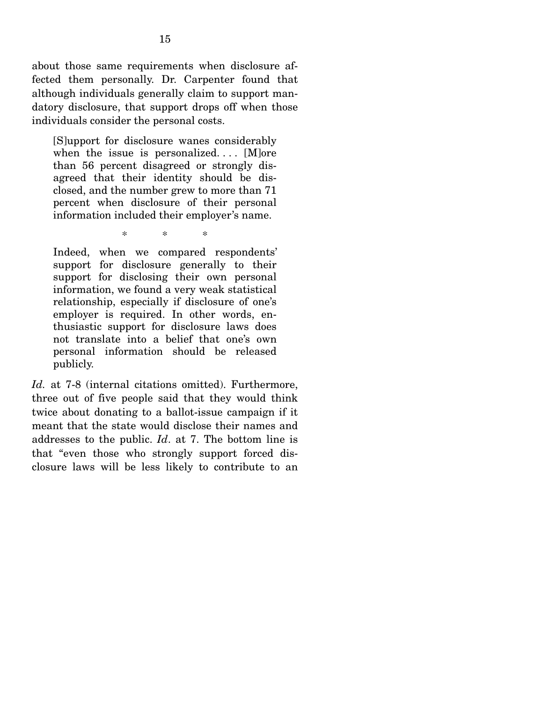about those same requirements when disclosure affected them personally. Dr. Carpenter found that although individuals generally claim to support mandatory disclosure, that support drops off when those individuals consider the personal costs.

[S]upport for disclosure wanes considerably when the issue is personalized....  $[M]$ ore than 56 percent disagreed or strongly disagreed that their identity should be disclosed, and the number grew to more than 71 percent when disclosure of their personal information included their employer's name.

\* \* \*

Indeed, when we compared respondents' support for disclosure generally to their support for disclosing their own personal information, we found a very weak statistical relationship, especially if disclosure of one's employer is required. In other words, enthusiastic support for disclosure laws does not translate into a belief that one's own personal information should be released publicly.

*Id.* at 7-8 (internal citations omitted). Furthermore, three out of five people said that they would think twice about donating to a ballot-issue campaign if it meant that the state would disclose their names and addresses to the public. *Id*. at 7. The bottom line is that "even those who strongly support forced disclosure laws will be less likely to contribute to an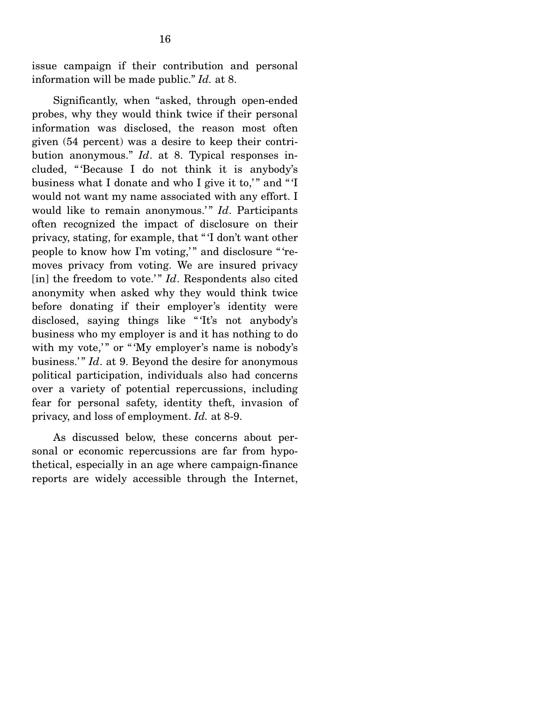issue campaign if their contribution and personal information will be made public." *Id.* at 8.

 Significantly, when "asked, through open-ended probes, why they would think twice if their personal information was disclosed, the reason most often given (54 percent) was a desire to keep their contribution anonymous." *Id*. at 8. Typical responses included, " 'Because I do not think it is anybody's business what I donate and who I give it to," and "'I would not want my name associated with any effort. I would like to remain anonymous." *Id*. Participants often recognized the impact of disclosure on their privacy, stating, for example, that " 'I don't want other people to know how I'm voting," and disclosure "'removes privacy from voting. We are insured privacy [in] the freedom to vote.'" *Id*. Respondents also cited anonymity when asked why they would think twice before donating if their employer's identity were disclosed, saying things like " 'It's not anybody's business who my employer is and it has nothing to do with my vote," or "My employer's name is nobody's business.'" *Id.* at 9. Beyond the desire for anonymous political participation, individuals also had concerns over a variety of potential repercussions, including fear for personal safety, identity theft, invasion of privacy, and loss of employment. *Id.* at 8-9.

 As discussed below, these concerns about personal or economic repercussions are far from hypothetical, especially in an age where campaign-finance reports are widely accessible through the Internet,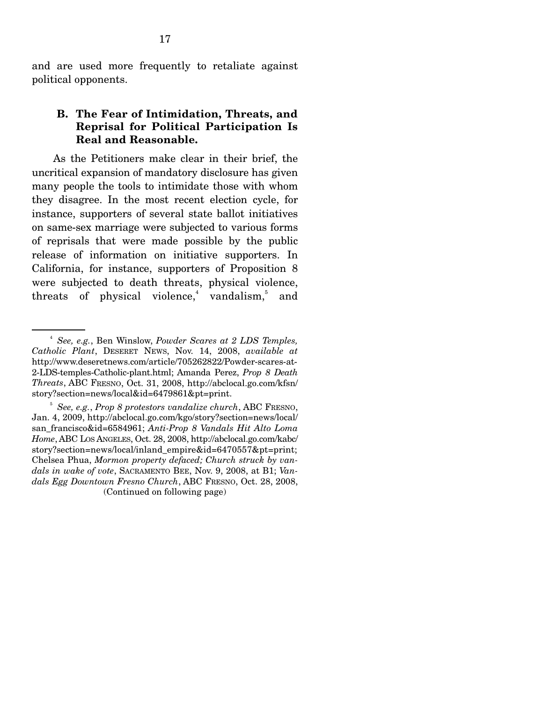and are used more frequently to retaliate against political opponents.

#### **B. The Fear of Intimidation, Threats, and Reprisal for Political Participation Is Real and Reasonable.**

As the Petitioners make clear in their brief, the uncritical expansion of mandatory disclosure has given many people the tools to intimidate those with whom they disagree. In the most recent election cycle, for instance, supporters of several state ballot initiatives on same-sex marriage were subjected to various forms of reprisals that were made possible by the public release of information on initiative supporters. In California, for instance, supporters of Proposition 8 were subjected to death threats, physical violence, threats of physical violence,<sup>4</sup> vandalism,<sup>5</sup> and

<sup>4</sup> *See, e.g.*, Ben Winslow, *Powder Scares at 2 LDS Temples, Catholic Plant*, DESERET NEWS, Nov. 14, 2008, *available at*  http://www.deseretnews.com/article/705262822/Powder-scares-at-2-LDS-temples-Catholic-plant.html; Amanda Perez, *Prop 8 Death Threats*, ABC FRESNO, Oct. 31, 2008, http://abclocal.go.com/kfsn/ story?section=news/local&id=6479861&pt=print.

<sup>5</sup> *See, e.g.*, *Prop 8 protestors vandalize church*, ABC FRESNO, Jan. 4, 2009, http://abclocal.go.com/kgo/story?section=news/local/ san\_francisco&id=6584961; *Anti-Prop 8 Vandals Hit Alto Loma Home*, ABC LOS ANGELES, Oct. 28, 2008, http://abclocal.go.com/kabc/ story?section=news/local/inland\_empire&id=6470557&pt=print; Chelsea Phua, *Mormon property defaced; Church struck by vandals in wake of vote*, SACRAMENTO BEE, Nov. 9, 2008, at B1; *Vandals Egg Downtown Fresno Church*, ABC FRESNO, Oct. 28, 2008, (Continued on following page)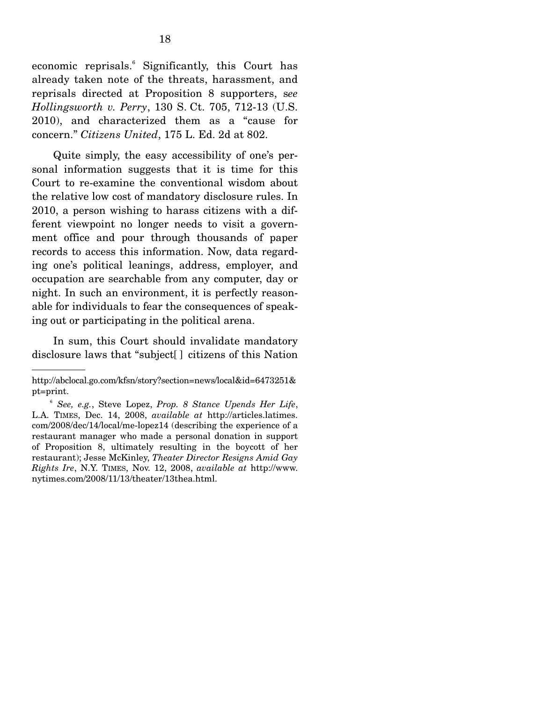economic reprisals.<sup>6</sup> Significantly, this Court has already taken note of the threats, harassment, and reprisals directed at Proposition 8 supporters, s*ee Hollingsworth v. Perry*, 130 S. Ct. 705, 712-13 (U.S. 2010), and characterized them as a "cause for concern." *Citizens United*, 175 L. Ed. 2d at 802.

 Quite simply, the easy accessibility of one's personal information suggests that it is time for this Court to re-examine the conventional wisdom about the relative low cost of mandatory disclosure rules. In 2010, a person wishing to harass citizens with a different viewpoint no longer needs to visit a government office and pour through thousands of paper records to access this information. Now, data regarding one's political leanings, address, employer, and occupation are searchable from any computer, day or night. In such an environment, it is perfectly reasonable for individuals to fear the consequences of speaking out or participating in the political arena.

 In sum, this Court should invalidate mandatory disclosure laws that "subject[ ] citizens of this Nation

http://abclocal.go.com/kfsn/story?section=news/local&id=6473251& pt=print.

<sup>6</sup> *See, e.g.*, Steve Lopez, *Prop. 8 Stance Upends Her Life*, L.A. TIMES, Dec. 14, 2008, *available at* http://articles.latimes. com/2008/dec/14/local/me-lopez14 (describing the experience of a restaurant manager who made a personal donation in support of Proposition 8, ultimately resulting in the boycott of her restaurant); Jesse McKinley, *Theater Director Resigns Amid Gay Rights Ire*, N.Y. TIMES, Nov. 12, 2008, *available at* http://www. nytimes.com/2008/11/13/theater/13thea.html.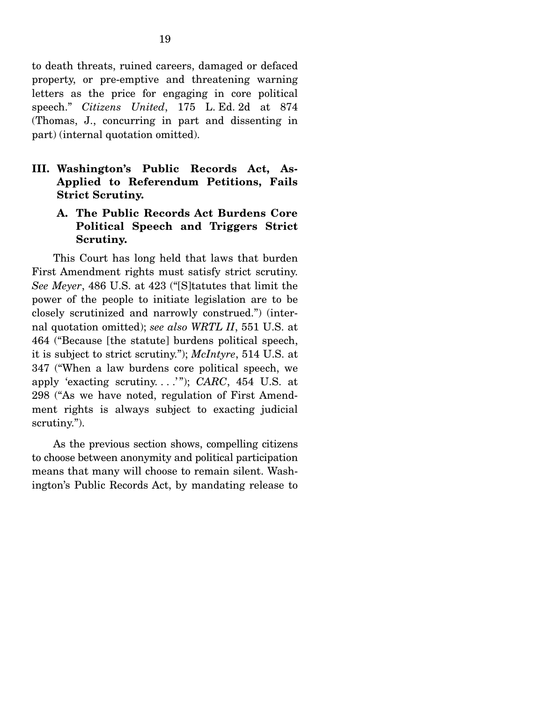to death threats, ruined careers, damaged or defaced property, or pre-emptive and threatening warning letters as the price for engaging in core political speech." *Citizens United*, 175 L. Ed. 2d at 874 (Thomas, J., concurring in part and dissenting in part) (internal quotation omitted).

**III. Washington's Public Records Act, As-Applied to Referendum Petitions, Fails Strict Scrutiny.** 

### **A. The Public Records Act Burdens Core Political Speech and Triggers Strict Scrutiny.**

This Court has long held that laws that burden First Amendment rights must satisfy strict scrutiny. *See Meyer*, 486 U.S. at 423 ("[S]tatutes that limit the power of the people to initiate legislation are to be closely scrutinized and narrowly construed.") (internal quotation omitted); *see also WRTL II*, 551 U.S. at 464 ("Because [the statute] burdens political speech, it is subject to strict scrutiny."); *McIntyre*, 514 U.S. at 347 ("When a law burdens core political speech, we apply 'exacting scrutiny. . . .' "); *CARC*, 454 U.S. at 298 ("As we have noted, regulation of First Amendment rights is always subject to exacting judicial scrutiny.").

 As the previous section shows, compelling citizens to choose between anonymity and political participation means that many will choose to remain silent. Washington's Public Records Act, by mandating release to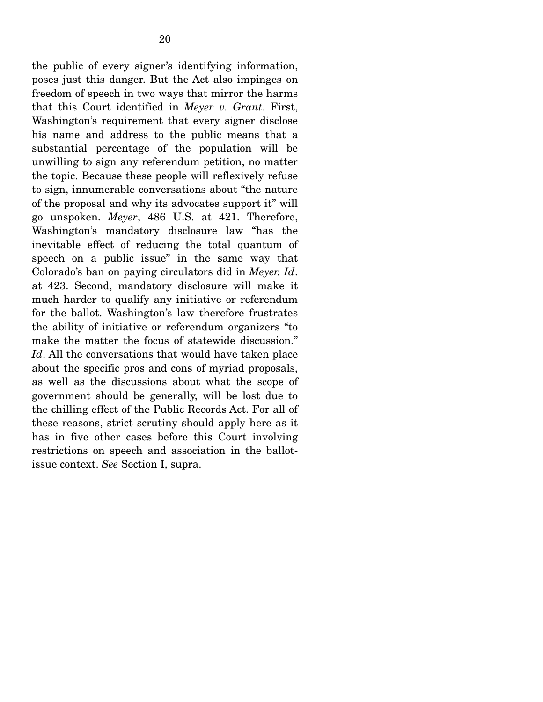the public of every signer's identifying information, poses just this danger. But the Act also impinges on freedom of speech in two ways that mirror the harms that this Court identified in *Meyer v. Grant*. First, Washington's requirement that every signer disclose his name and address to the public means that a substantial percentage of the population will be unwilling to sign any referendum petition, no matter the topic. Because these people will reflexively refuse to sign, innumerable conversations about "the nature of the proposal and why its advocates support it" will go unspoken. *Meyer*, 486 U.S. at 421. Therefore, Washington's mandatory disclosure law "has the inevitable effect of reducing the total quantum of speech on a public issue" in the same way that Colorado's ban on paying circulators did in *Meyer. Id*. at 423. Second, mandatory disclosure will make it much harder to qualify any initiative or referendum for the ballot. Washington's law therefore frustrates the ability of initiative or referendum organizers "to make the matter the focus of statewide discussion." *Id*. All the conversations that would have taken place about the specific pros and cons of myriad proposals, as well as the discussions about what the scope of government should be generally, will be lost due to the chilling effect of the Public Records Act. For all of these reasons, strict scrutiny should apply here as it has in five other cases before this Court involving restrictions on speech and association in the ballotissue context. *See* Section I, supra.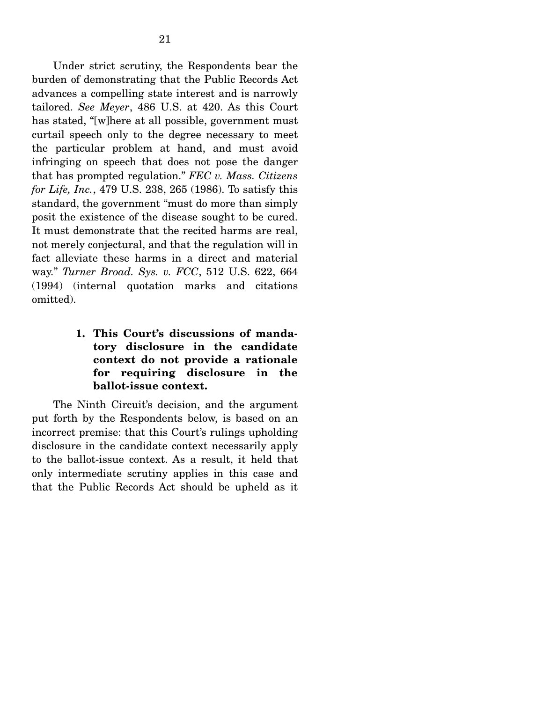Under strict scrutiny, the Respondents bear the burden of demonstrating that the Public Records Act advances a compelling state interest and is narrowly tailored. *See Meyer*, 486 U.S. at 420. As this Court has stated, "[w]here at all possible, government must curtail speech only to the degree necessary to meet the particular problem at hand, and must avoid infringing on speech that does not pose the danger that has prompted regulation." *FEC v. Mass. Citizens for Life, Inc.*, 479 U.S. 238, 265 (1986). To satisfy this standard, the government "must do more than simply posit the existence of the disease sought to be cured. It must demonstrate that the recited harms are real, not merely conjectural, and that the regulation will in fact alleviate these harms in a direct and material way." *Turner Broad. Sys. v. FCC*, 512 U.S. 622, 664 (1994) (internal quotation marks and citations omitted).

> **1. This Court's discussions of mandatory disclosure in the candidate context do not provide a rationale for requiring disclosure in the ballot-issue context.**

The Ninth Circuit's decision, and the argument put forth by the Respondents below, is based on an incorrect premise: that this Court's rulings upholding disclosure in the candidate context necessarily apply to the ballot-issue context. As a result, it held that only intermediate scrutiny applies in this case and that the Public Records Act should be upheld as it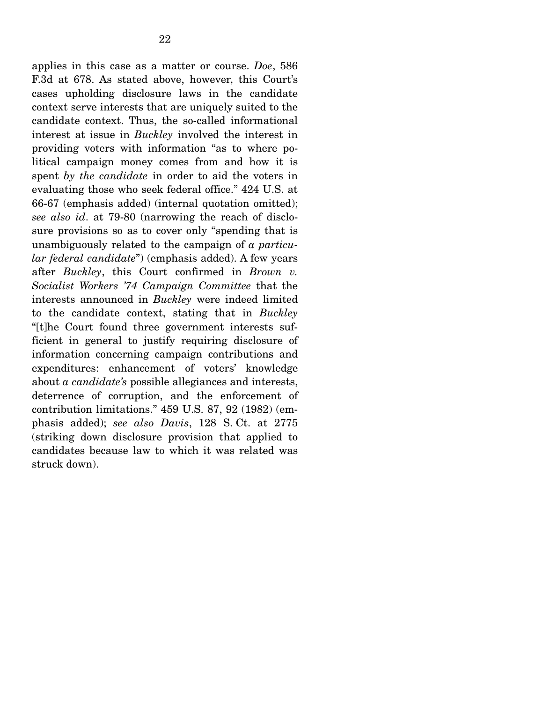applies in this case as a matter or course. *Doe*, 586 F.3d at 678. As stated above, however, this Court's cases upholding disclosure laws in the candidate context serve interests that are uniquely suited to the candidate context. Thus, the so-called informational interest at issue in *Buckley* involved the interest in providing voters with information "as to where political campaign money comes from and how it is spent *by the candidate* in order to aid the voters in evaluating those who seek federal office." 424 U.S. at 66-67 (emphasis added) (internal quotation omitted); *see also id*. at 79-80 (narrowing the reach of disclosure provisions so as to cover only "spending that is unambiguously related to the campaign of *a particular federal candidate*") (emphasis added). A few years after *Buckley*, this Court confirmed in *Brown v. Socialist Workers '74 Campaign Committee* that the interests announced in *Buckley* were indeed limited to the candidate context, stating that in *Buckley* "[t]he Court found three government interests sufficient in general to justify requiring disclosure of information concerning campaign contributions and expenditures: enhancement of voters' knowledge about *a candidate's* possible allegiances and interests, deterrence of corruption, and the enforcement of contribution limitations." 459 U.S. 87, 92 (1982) (emphasis added); *see also Davis*, 128 S. Ct. at 2775 (striking down disclosure provision that applied to candidates because law to which it was related was struck down).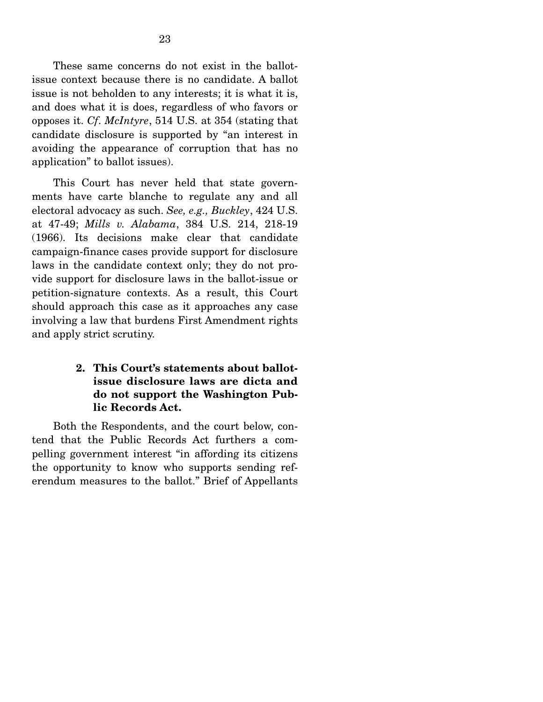These same concerns do not exist in the ballotissue context because there is no candidate. A ballot issue is not beholden to any interests; it is what it is, and does what it is does, regardless of who favors or opposes it. *Cf*. *McIntyre*, 514 U.S. at 354 (stating that candidate disclosure is supported by "an interest in avoiding the appearance of corruption that has no application" to ballot issues).

 This Court has never held that state governments have carte blanche to regulate any and all electoral advocacy as such. *See, e.g., Buckley*, 424 U.S. at 47-49; *Mills v. Alabama*, 384 U.S. 214, 218-19 (1966). Its decisions make clear that candidate campaign-finance cases provide support for disclosure laws in the candidate context only; they do not provide support for disclosure laws in the ballot-issue or petition-signature contexts. As a result, this Court should approach this case as it approaches any case involving a law that burdens First Amendment rights and apply strict scrutiny.

## **2. This Court's statements about ballotissue disclosure laws are dicta and do not support the Washington Public Records Act.**

Both the Respondents, and the court below, contend that the Public Records Act furthers a compelling government interest "in affording its citizens the opportunity to know who supports sending referendum measures to the ballot." Brief of Appellants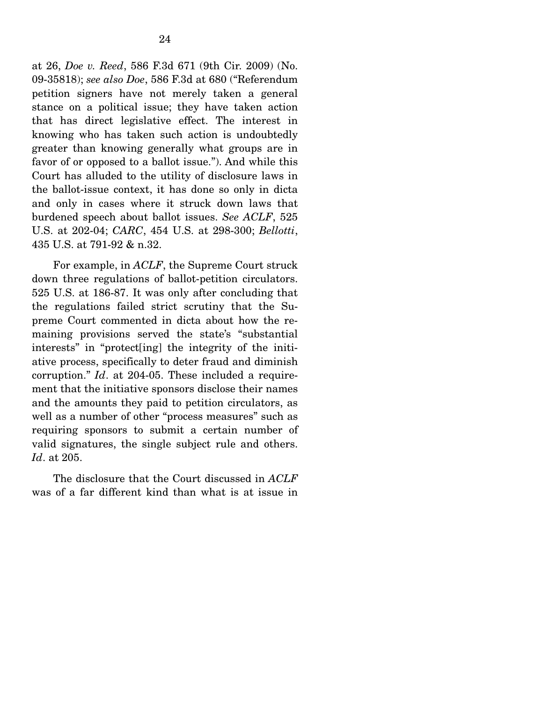at 26, *Doe v. Reed*, 586 F.3d 671 (9th Cir. 2009) (No. 09-35818); *see also Doe*, 586 F.3d at 680 ("Referendum petition signers have not merely taken a general stance on a political issue; they have taken action that has direct legislative effect. The interest in knowing who has taken such action is undoubtedly greater than knowing generally what groups are in favor of or opposed to a ballot issue."). And while this Court has alluded to the utility of disclosure laws in the ballot-issue context, it has done so only in dicta and only in cases where it struck down laws that burdened speech about ballot issues. *See ACLF*, 525 U.S. at 202-04; *CARC*, 454 U.S. at 298-300; *Bellotti*, 435 U.S. at 791-92 & n.32.

 For example, in *ACLF*, the Supreme Court struck down three regulations of ballot-petition circulators. 525 U.S. at 186-87. It was only after concluding that the regulations failed strict scrutiny that the Supreme Court commented in dicta about how the remaining provisions served the state's "substantial interests" in "protect[ing] the integrity of the initiative process, specifically to deter fraud and diminish corruption." *Id*. at 204-05. These included a requirement that the initiative sponsors disclose their names and the amounts they paid to petition circulators, as well as a number of other "process measures" such as requiring sponsors to submit a certain number of valid signatures, the single subject rule and others. *Id*. at 205.

 The disclosure that the Court discussed in *ACLF* was of a far different kind than what is at issue in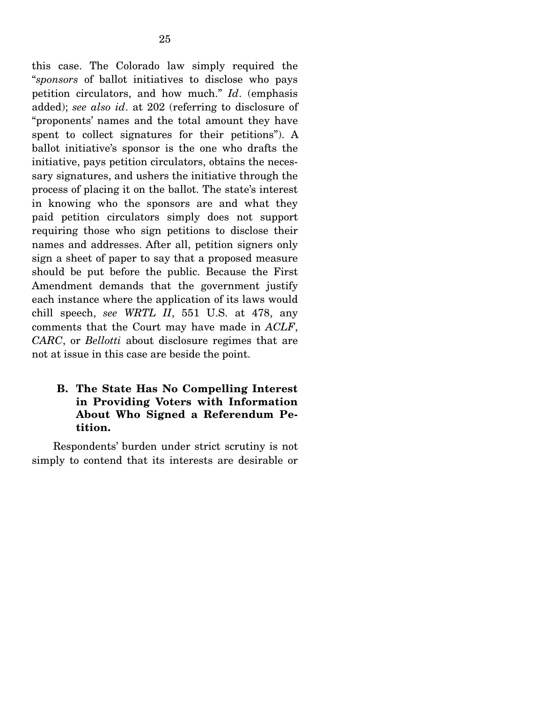this case. The Colorado law simply required the "*sponsors* of ballot initiatives to disclose who pays petition circulators, and how much." *Id*. (emphasis added); *see also id*. at 202 (referring to disclosure of "proponents' names and the total amount they have spent to collect signatures for their petitions"). A ballot initiative's sponsor is the one who drafts the initiative, pays petition circulators, obtains the necessary signatures, and ushers the initiative through the process of placing it on the ballot. The state's interest in knowing who the sponsors are and what they paid petition circulators simply does not support requiring those who sign petitions to disclose their names and addresses. After all, petition signers only sign a sheet of paper to say that a proposed measure should be put before the public. Because the First Amendment demands that the government justify each instance where the application of its laws would chill speech, *see WRTL II*, 551 U.S. at 478, any comments that the Court may have made in *ACLF*, *CARC*, or *Bellotti* about disclosure regimes that are not at issue in this case are beside the point.

#### **B. The State Has No Compelling Interest in Providing Voters with Information About Who Signed a Referendum Petition.**

Respondents' burden under strict scrutiny is not simply to contend that its interests are desirable or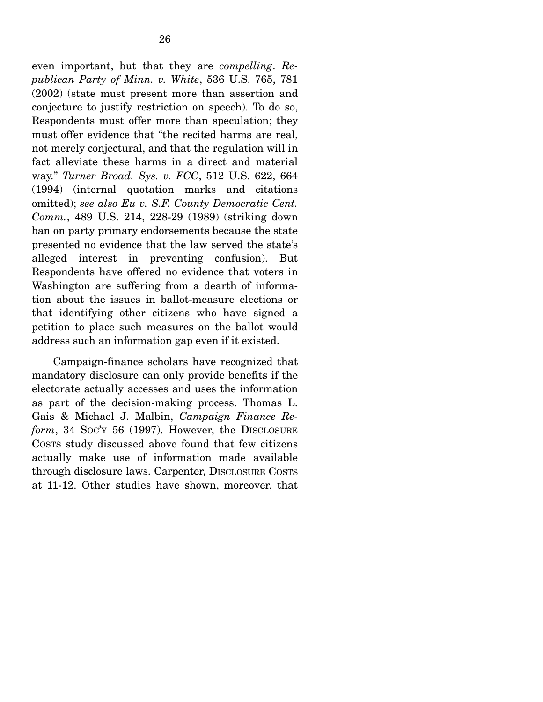even important, but that they are *compelling*. *Republican Party of Minn. v. White*, 536 U.S. 765, 781 (2002) (state must present more than assertion and conjecture to justify restriction on speech). To do so, Respondents must offer more than speculation; they must offer evidence that "the recited harms are real, not merely conjectural, and that the regulation will in fact alleviate these harms in a direct and material way." *Turner Broad. Sys. v. FCC*, 512 U.S. 622, 664 (1994) (internal quotation marks and citations omitted); *see also Eu v. S.F. County Democratic Cent. Comm.*, 489 U.S. 214, 228-29 (1989) (striking down ban on party primary endorsements because the state presented no evidence that the law served the state's alleged interest in preventing confusion). But Respondents have offered no evidence that voters in Washington are suffering from a dearth of information about the issues in ballot-measure elections or that identifying other citizens who have signed a petition to place such measures on the ballot would address such an information gap even if it existed.

 Campaign-finance scholars have recognized that mandatory disclosure can only provide benefits if the electorate actually accesses and uses the information as part of the decision-making process. Thomas L. Gais & Michael J. Malbin, *Campaign Finance Reform*, 34 SOC'Y 56 (1997). However, the DISCLOSURE COSTS study discussed above found that few citizens actually make use of information made available through disclosure laws. Carpenter, DISCLOSURE COSTS at 11-12. Other studies have shown, moreover, that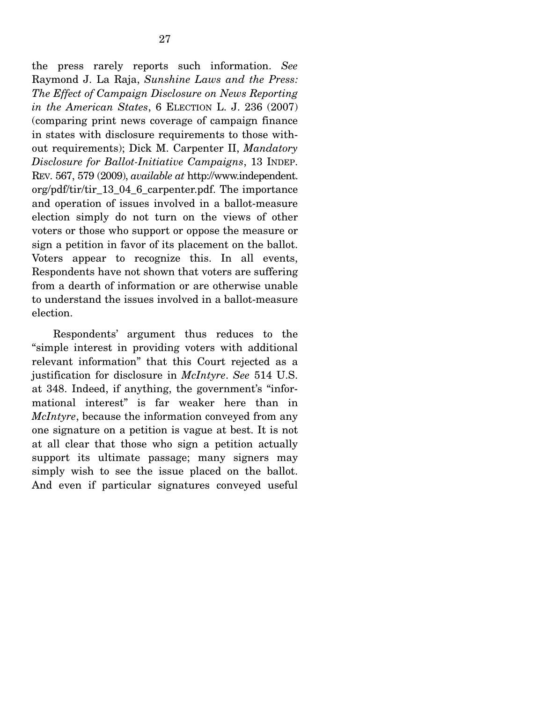27

Raymond J. La Raja, *Sunshine Laws and the Press: The Effect of Campaign Disclosure on News Reporting in the American States*, 6 ELECTION L. J. 236 (2007) (comparing print news coverage of campaign finance in states with disclosure requirements to those without requirements); Dick M. Carpenter II, *Mandatory Disclosure for Ballot-Initiative Campaigns*, 13 INDEP. REV. 567, 579 (2009), *available at* http://www.independent. org/pdf/tir/tir\_13\_04\_6\_carpenter.pdf. The importance and operation of issues involved in a ballot-measure election simply do not turn on the views of other voters or those who support or oppose the measure or sign a petition in favor of its placement on the ballot. Voters appear to recognize this. In all events, Respondents have not shown that voters are suffering from a dearth of information or are otherwise unable to understand the issues involved in a ballot-measure election.

 Respondents' argument thus reduces to the "simple interest in providing voters with additional relevant information" that this Court rejected as a justification for disclosure in *McIntyre*. *See* 514 U.S. at 348. Indeed, if anything, the government's "informational interest" is far weaker here than in *McIntyre*, because the information conveyed from any one signature on a petition is vague at best. It is not at all clear that those who sign a petition actually support its ultimate passage; many signers may simply wish to see the issue placed on the ballot. And even if particular signatures conveyed useful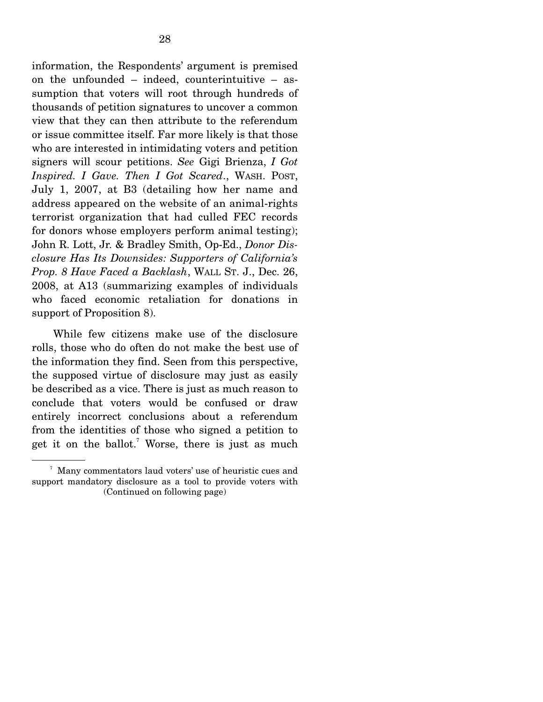information, the Respondents' argument is premised on the unfounded – indeed, counterintuitive – assumption that voters will root through hundreds of thousands of petition signatures to uncover a common view that they can then attribute to the referendum or issue committee itself. Far more likely is that those who are interested in intimidating voters and petition signers will scour petitions. *See* Gigi Brienza, *I Got Inspired. I Gave. Then I Got Scared*., WASH. POST, July 1, 2007, at B3 (detailing how her name and address appeared on the website of an animal-rights terrorist organization that had culled FEC records for donors whose employers perform animal testing); John R. Lott, Jr. & Bradley Smith, Op-Ed., *Donor Disclosure Has Its Downsides: Supporters of California's Prop. 8 Have Faced a Backlash*, WALL ST. J., Dec. 26, 2008, at A13 (summarizing examples of individuals who faced economic retaliation for donations in support of Proposition 8).

 While few citizens make use of the disclosure rolls, those who do often do not make the best use of the information they find. Seen from this perspective, the supposed virtue of disclosure may just as easily be described as a vice. There is just as much reason to conclude that voters would be confused or draw entirely incorrect conclusions about a referendum from the identities of those who signed a petition to get it on the ballot.<sup>7</sup> Worse, there is just as much

<sup>7</sup> Many commentators laud voters' use of heuristic cues and support mandatory disclosure as a tool to provide voters with (Continued on following page)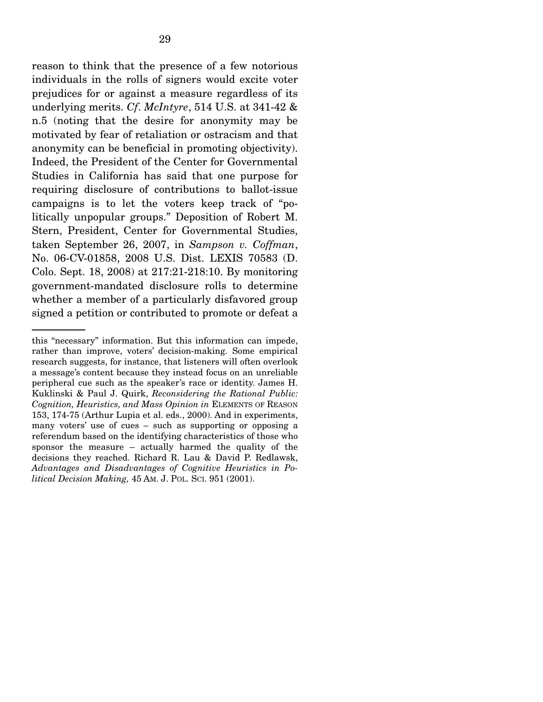reason to think that the presence of a few notorious individuals in the rolls of signers would excite voter prejudices for or against a measure regardless of its underlying merits. *Cf*. *McIntyre*, 514 U.S. at 341-42 & n.5 (noting that the desire for anonymity may be motivated by fear of retaliation or ostracism and that anonymity can be beneficial in promoting objectivity). Indeed, the President of the Center for Governmental Studies in California has said that one purpose for requiring disclosure of contributions to ballot-issue campaigns is to let the voters keep track of "politically unpopular groups." Deposition of Robert M. Stern, President, Center for Governmental Studies, taken September 26, 2007, in *Sampson v. Coffman*, No. 06-CV-01858, 2008 U.S. Dist. LEXIS 70583 (D. Colo. Sept. 18, 2008) at 217:21-218:10. By monitoring government-mandated disclosure rolls to determine whether a member of a particularly disfavored group signed a petition or contributed to promote or defeat a

this "necessary" information. But this information can impede, rather than improve, voters' decision-making. Some empirical research suggests, for instance, that listeners will often overlook a message's content because they instead focus on an unreliable peripheral cue such as the speaker's race or identity. James H. Kuklinski & Paul J. Quirk, *Reconsidering the Rational Public: Cognition, Heuristics, and Mass Opinion in* ELEMENTS OF REASON 153, 174-75 (Arthur Lupia et al. eds., 2000). And in experiments, many voters' use of cues – such as supporting or opposing a referendum based on the identifying characteristics of those who sponsor the measure – actually harmed the quality of the decisions they reached. Richard R. Lau & David P. Redlawsk, *Advantages and Disadvantages of Cognitive Heuristics in Political Decision Making,* 45 AM. J. POL. SCI. 951 (2001).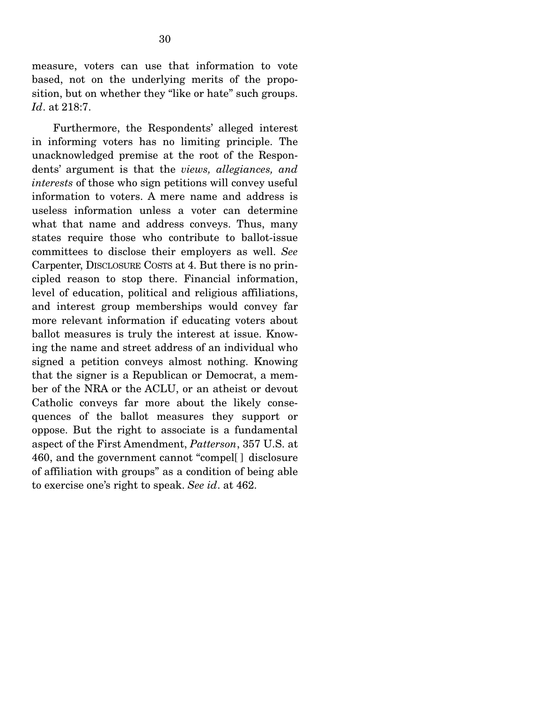measure, voters can use that information to vote based, not on the underlying merits of the proposition, but on whether they "like or hate" such groups. *Id*. at 218:7.

 Furthermore, the Respondents' alleged interest in informing voters has no limiting principle. The unacknowledged premise at the root of the Respondents' argument is that the *views, allegiances, and interests* of those who sign petitions will convey useful information to voters. A mere name and address is useless information unless a voter can determine what that name and address conveys. Thus, many states require those who contribute to ballot-issue committees to disclose their employers as well. *See* Carpenter, DISCLOSURE COSTS at 4. But there is no principled reason to stop there. Financial information, level of education, political and religious affiliations, and interest group memberships would convey far more relevant information if educating voters about ballot measures is truly the interest at issue. Knowing the name and street address of an individual who signed a petition conveys almost nothing. Knowing that the signer is a Republican or Democrat, a member of the NRA or the ACLU, or an atheist or devout Catholic conveys far more about the likely consequences of the ballot measures they support or oppose. But the right to associate is a fundamental aspect of the First Amendment, *Patterson*, 357 U.S. at 460, and the government cannot "compel[ ] disclosure of affiliation with groups" as a condition of being able to exercise one's right to speak. *See id*. at 462.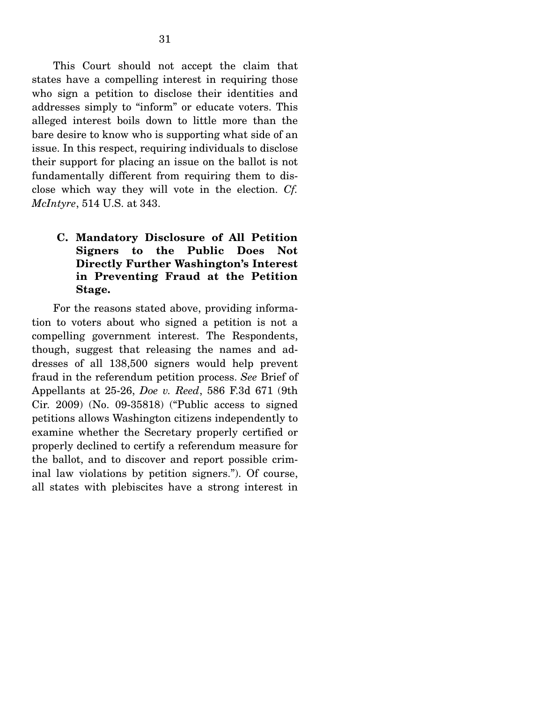This Court should not accept the claim that states have a compelling interest in requiring those who sign a petition to disclose their identities and addresses simply to "inform" or educate voters. This alleged interest boils down to little more than the bare desire to know who is supporting what side of an issue. In this respect, requiring individuals to disclose their support for placing an issue on the ballot is not fundamentally different from requiring them to disclose which way they will vote in the election. *Cf. McIntyre*, 514 U.S. at 343.

### **C. Mandatory Disclosure of All Petition Signers to the Public Does Not Directly Further Washington's Interest in Preventing Fraud at the Petition Stage.**

For the reasons stated above, providing information to voters about who signed a petition is not a compelling government interest. The Respondents, though, suggest that releasing the names and addresses of all 138,500 signers would help prevent fraud in the referendum petition process. *See* Brief of Appellants at 25-26, *Doe v. Reed*, 586 F.3d 671 (9th Cir. 2009) (No. 09-35818) ("Public access to signed petitions allows Washington citizens independently to examine whether the Secretary properly certified or properly declined to certify a referendum measure for the ballot, and to discover and report possible criminal law violations by petition signers."). Of course, all states with plebiscites have a strong interest in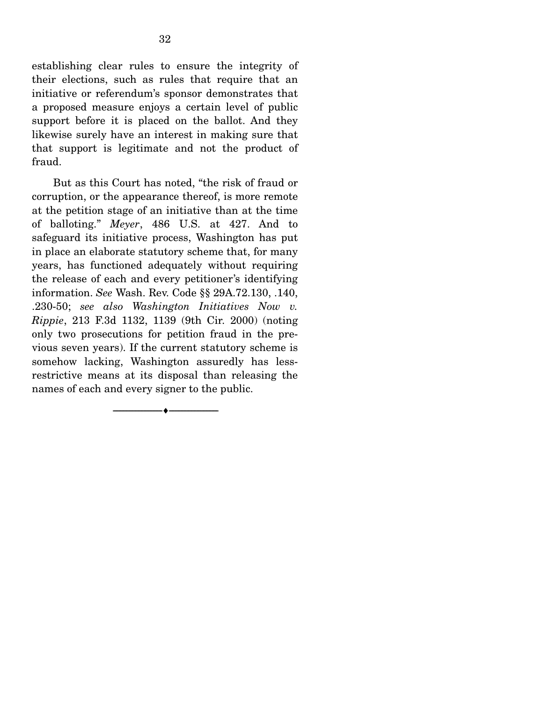establishing clear rules to ensure the integrity of their elections, such as rules that require that an initiative or referendum's sponsor demonstrates that a proposed measure enjoys a certain level of public support before it is placed on the ballot. And they likewise surely have an interest in making sure that that support is legitimate and not the product of fraud.

 But as this Court has noted, "the risk of fraud or corruption, or the appearance thereof, is more remote at the petition stage of an initiative than at the time of balloting." *Meyer*, 486 U.S. at 427. And to safeguard its initiative process, Washington has put in place an elaborate statutory scheme that, for many years, has functioned adequately without requiring the release of each and every petitioner's identifying information. *See* Wash. Rev. Code §§ 29A.72.130, .140, .230-50; *see also Washington Initiatives Now v. Rippie*, 213 F.3d 1132, 1139 (9th Cir. 2000) (noting only two prosecutions for petition fraud in the previous seven years). If the current statutory scheme is somehow lacking, Washington assuredly has lessrestrictive means at its disposal than releasing the names of each and every signer to the public.

--------------------------------- ♦ ---------------------------------